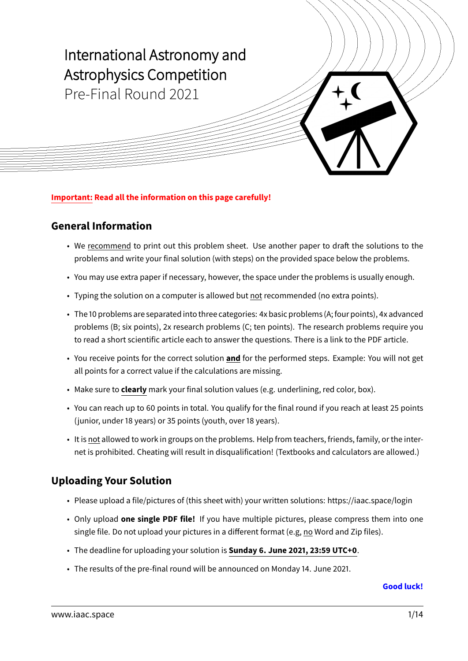

#### **Important: Read all the information on this page carefully!**

#### **General Information**

- We recommend to print out this problem sheet. Use another paper to draft the solutions to the problems and write your final solution (with steps) on the provided space below the problems.
- You may use extra paper if necessary, however, the space under the problems is usually enough.
- Typing the solution on a computer is allowed but not recommended (no extra points).
- The 10 problems are separated into three categories: 4x basic problems (A;four points), 4x advanced problems (B; six points), 2x research problems (C; ten points). The research problems require you to read a short scientific article each to answer the questions. There is a link to the PDF article.
- You receive points for the correct solution **and** for the performed steps. Example: You will not get all points for a correct value if the calculations are missing.
- Make sure to **clearly** mark your final solution values (e.g. underlining, red color, box).
- You can reach up to 60 points in total. You qualify for the final round if you reach at least 25 points (junior, under 18 years) or 35 points (youth, over 18 years).
- It is not allowed to work in groups on the problems. Help from teachers, friends, family, or the internet is prohibited. Cheating will result in disqualification! (Textbooks and calculators are allowed.)

#### **Uploading Your Solution**

- Please upload a file/pictures of (this sheet with) your written solutions:<https://iaac.space/login>
- Only upload **one single PDF file!** If you have multiple pictures, please compress them into one single file. Do not upload your pictures in a different format (e.g, no Word and Zip files).
- The deadline for uploading your solution is **Sunday 6. June 2021, 23:59 UTC+0**.
- The results of the pre-final round will be announced on Monday 14. June 2021.

#### **Good luck!**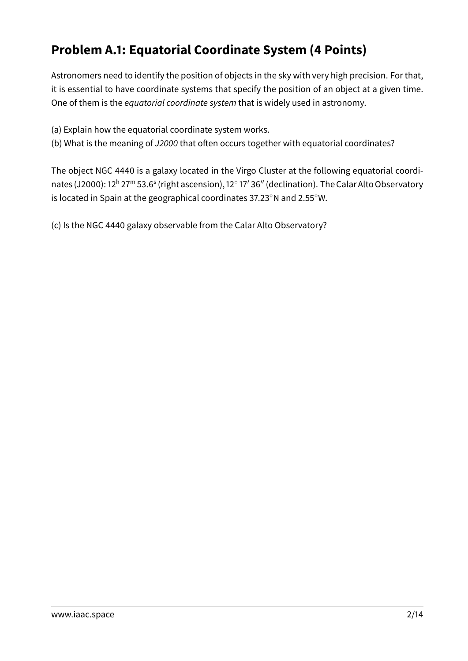# **Problem A.1: Equatorial Coordinate System (4 Points)**

Astronomers need to identify the position of objects in the sky with very high precision. For that, it is essential to have coordinate systems that specify the position of an object at a given time. One of them is the equatorial coordinate system that is widely used in astronomy.

- (a) Explain how the equatorial coordinate system works.
- (b) What is the meaning of J2000 that often occurs together with equatorial coordinates?

The object NGC 4440 is a galaxy located in the Virgo Cluster at the following equatorial coordinates (J2000): 12ʰ 27™ 53.6<sup>s</sup> (right ascension), 12° 17′ 36″ (declination). The Calar Alto Observatory is located in Spain at the geographical coordinates 37.23◦N and 2.55◦W.

(c) Is the NGC 4440 galaxy observable from the Calar Alto Observatory?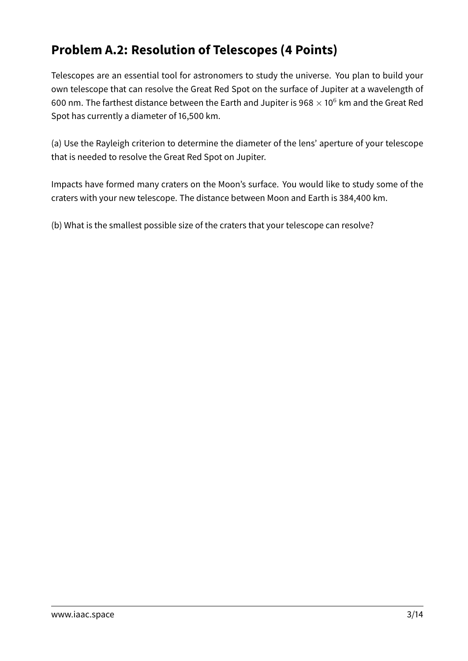# **Problem A.2: Resolution of Telescopes (4 Points)**

Telescopes are an essential tool for astronomers to study the universe. You plan to build your own telescope that can resolve the Great Red Spot on the surface of Jupiter at a wavelength of 600 nm. The farthest distance between the Earth and Jupiter is 968  $\times$  10<sup>6</sup> km and the Great Red Spot has currently a diameter of 16,500 km.

(a) Use the Rayleigh criterion to determine the diameter of the lens' aperture of your telescope that is needed to resolve the Great Red Spot on Jupiter.

Impacts have formed many craters on the Moon's surface. You would like to study some of the craters with your new telescope. The distance between Moon and Earth is 384,400 km.

(b) What is the smallest possible size of the craters that your telescope can resolve?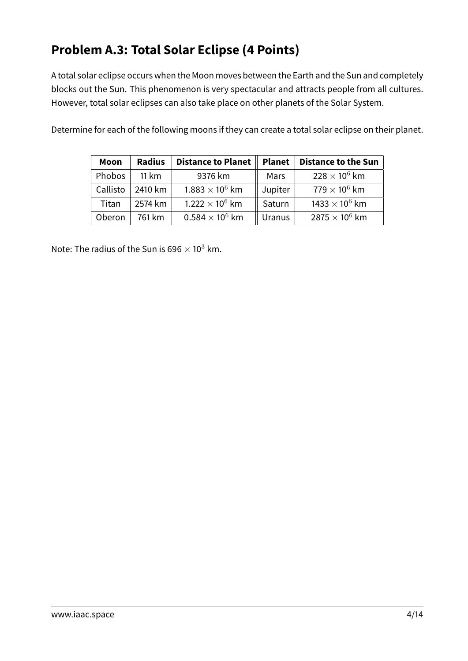# **Problem A.3: Total Solar Eclipse (4 Points)**

A total solar eclipse occurs when the Moon moves between the Earth and the Sun and completely blocks out the Sun. This phenomenon is very spectacular and attracts people from all cultures. However, total solar eclipses can also take place on other planets of the Solar System.

Determine for each of the following moons if they can create a total solar eclipse on their planet.

| Moon     | <b>Radius</b> | <b>Distance to Planet</b> | <b>Planet</b> | <b>Distance to the Sun</b>       |
|----------|---------------|---------------------------|---------------|----------------------------------|
| Phobos   | 11 km         | 9376 km                   | Mars          | $228 \times 10^6$ km             |
| Callisto | 2410 km       | $1.883 \times 10^6$ km    | Jupiter       | $779\times10^6$ km               |
| Titan    | 2574 km       | $1.222 \times 10^6$ km    | Saturn        | 1433 $\times$ 10 <sup>6</sup> km |
| Oberon   | 761 km        | $0.584 \times 10^6$ km    | <b>Uranus</b> | 2875 $\times$ 10 <sup>6</sup> km |

Note: The radius of the Sun is 696  $\times$  10<sup>3</sup> km.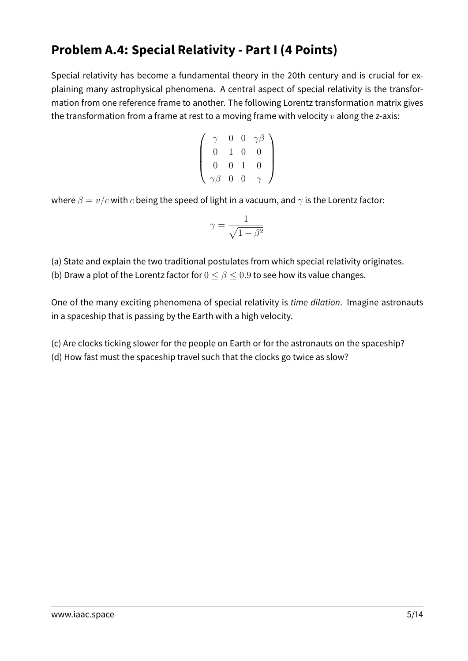## **Problem A.4: Special Relativity - Part I (4 Points)**

Special relativity has become a fundamental theory in the 20th century and is crucial for explaining many astrophysical phenomena. A central aspect of special relativity is the transformation from one reference frame to another. The following Lorentz transformation matrix gives the transformation from a frame at rest to a moving frame with velocity  $v$  along the z-axis:

$$
\left(\begin{array}{cccc} \gamma & 0 & 0 & \gamma\beta \\ 0 & 1 & 0 & 0 \\ 0 & 0 & 1 & 0 \\ \gamma\beta & 0 & 0 & \gamma \end{array}\right)
$$

where  $\beta = v/c$  with c being the speed of light in a vacuum, and  $\gamma$  is the Lorentz factor:

$$
\gamma = \frac{1}{\sqrt{1-\beta^2}}
$$

(a) State and explain the two traditional postulates from which special relativity originates. (b) Draw a plot of the Lorentz factor for  $0 \le \beta \le 0.9$  to see how its value changes.

One of the many exciting phenomena of special relativity is time dilation. Imagine astronauts in a spaceship that is passing by the Earth with a high velocity.

(c) Are clocks ticking slower for the people on Earth or for the astronauts on the spaceship?

(d) How fast must the spaceship travel such that the clocks go twice as slow?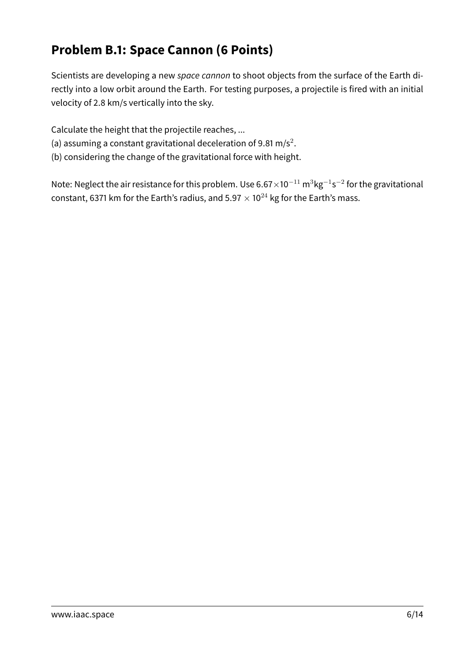# **Problem B.1: Space Cannon (6 Points)**

Scientists are developing a new space cannon to shoot objects from the surface of the Earth directly into a low orbit around the Earth. For testing purposes, a projectile is fired with an initial velocity of 2.8 km/s vertically into the sky.

Calculate the height that the projectile reaches, ...

- (a) assuming a constant gravitational deceleration of 9.81 m/s<sup>2</sup>.
- (b) considering the change of the gravitational force with height.

Note: Neglect the air resistance for this problem. Use 6.67 $\times$ 10 $^{-11}$  m $^3$ kg $^{-1}$ s $^{-2}$  for the gravitational constant, 6371 km for the Earth's radius, and  $5.97 \times 10^{24}$  kg for the Earth's mass.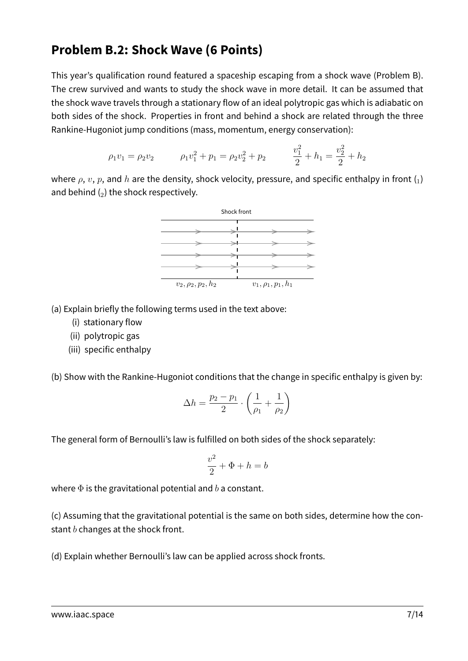### **Problem B.2: Shock Wave (6 Points)**

This year's qualification round featured a spaceship escaping from a shock wave (Problem B). The crew survived and wants to study the shock wave in more detail. It can be assumed that the shock wave travels through a stationary flow of an ideal polytropic gas which is adiabatic on both sides of the shock. Properties in front and behind a shock are related through the three Rankine-Hugoniot jump conditions (mass, momentum, energy conservation):

$$
\rho_1 v_1 = \rho_2 v_2 \qquad \rho_1 v_1^2 + p_1 = \rho_2 v_2^2 + p_2 \qquad \frac{v_1^2}{2} + h_1 = \frac{v_2^2}{2} + h_2
$$

where  $\rho$ ,  $v$ ,  $p$ , and  $h$  are the density, shock velocity, pressure, and specific enthalpy in front  $\binom{1}{k}$ and behind  $(_{2})$  the shock respectively.



(a) Explain briefly the following terms used in the text above:

- (i) stationary flow
- (ii) polytropic gas
- (iii) specific enthalpy

(b) Show with the Rankine-Hugoniot conditions that the change in specific enthalpy is given by:

$$
\Delta h = \frac{p_2 - p_1}{2} \cdot \left(\frac{1}{\rho_1} + \frac{1}{\rho_2}\right)
$$

The general form of Bernoulli's law is fulfilled on both sides of the shock separately:

$$
\frac{v^2}{2} + \Phi + h = b
$$

where  $\Phi$  is the gravitational potential and b a constant.

(c) Assuming that the gravitational potential is the same on both sides, determine how the constant  $b$  changes at the shock front.

(d) Explain whether Bernoulli's law can be applied across shock fronts.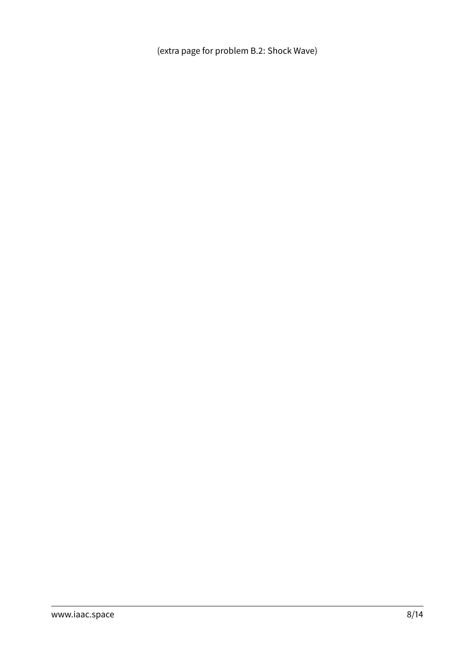(extra page for problem B.2: Shock Wave)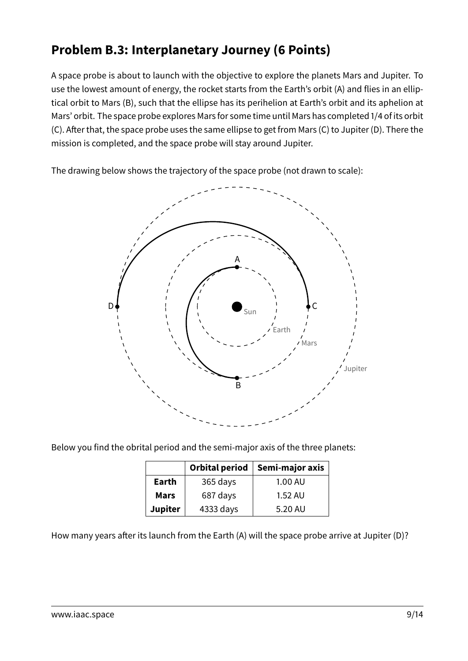# **Problem B.3: Interplanetary Journey (6 Points)**

A space probe is about to launch with the objective to explore the planets Mars and Jupiter. To use the lowest amount of energy, the rocket starts from the Earth's orbit (A) and flies in an elliptical orbit to Mars (B), such that the ellipse has its perihelion at Earth's orbit and its aphelion at Mars' orbit. The space probe explores Mars for some time until Mars has completed 1/4 of its orbit (C). After that, the space probe uses the same ellipse to get from Mars (C) to Jupiter (D). There the mission is completed, and the space probe will stay around Jupiter.

The drawing below shows the trajectory of the space probe (not drawn to scale):



Below you find the obrital period and the semi-major axis of the three planets:

|                | Orbital period | Semi-major axis |
|----------------|----------------|-----------------|
| Earth          | 365 days       | 1.00 AU         |
| <b>Mars</b>    | 687 days       | 1.52 AU         |
| <b>Jupiter</b> | 4333 days      | 5.20 AU         |

How many years after its launch from the Earth (A) will the space probe arrive at Jupiter (D)?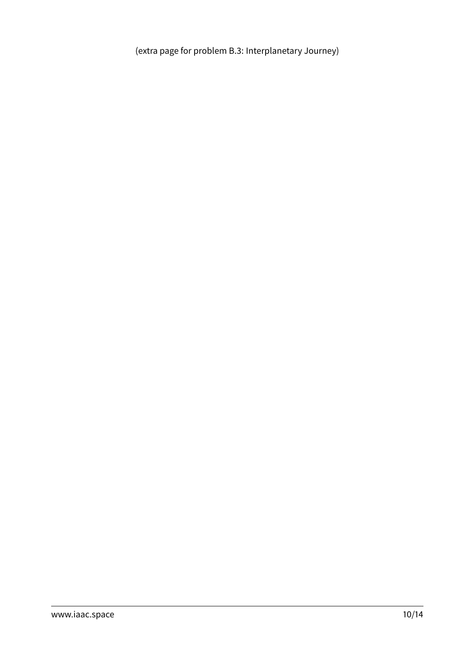(extra page for problem B.3: Interplanetary Journey)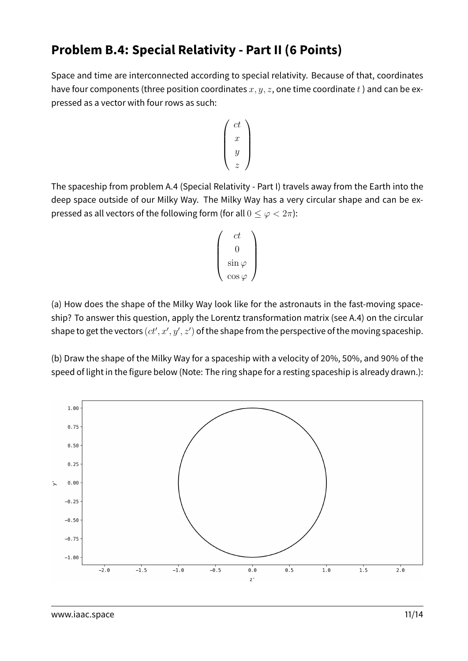### **Problem B.4: Special Relativity - Part II (6 Points)**

Space and time are interconnected according to special relativity. Because of that, coordinates have four components (three position coordinates  $x, y, z$ , one time coordinate t) and can be expressed as a vector with four rows as such:

$$
\left(\begin{array}{c}ct\\x\\y\\z\end{array}\right)
$$

The spaceship from problem A.4 (Special Relativity - Part I) travels away from the Earth into the deep space outside of our Milky Way. The Milky Way has a very circular shape and can be expressed as all vectors of the following form (for all  $0 \leq \varphi < 2\pi$ ):

$$
\begin{pmatrix} ct \\ 0 \\ \sin \varphi \\ \cos \varphi \end{pmatrix}
$$

(a) How does the shape of the Milky Way look like for the astronauts in the fast-moving spaceship? To answer this question, apply the Lorentz transformation matrix (see A.4) on the circular shape to get the vectors  $(ct', x', y', z')$  of the shape from the perspective of the moving spaceship.

(b) Draw the shape of the Milky Way for a spaceship with a velocity of 20%, 50%, and 90% of the speed of light in the figure below (Note: The ring shape for a resting spaceship is already drawn.):

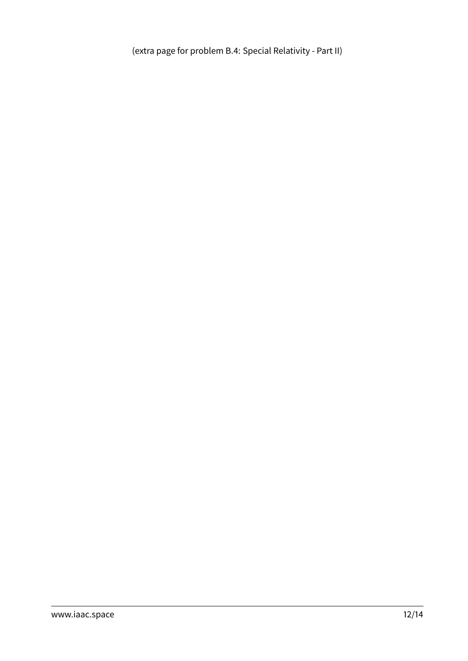(extra page for problem B.4: Special Relativity - Part II)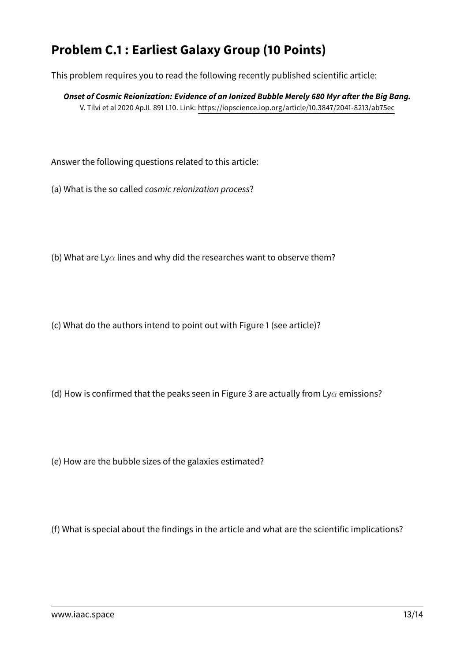# **Problem C.1 : Earliest Galaxy Group (10 Points)**

This problem requires you to read the following recently published scientific article:

**Onset of Cosmic Reionization: Evidence of an Ionized Bubble Merely 680 Myr after the Big Bang.** V. Tilvi et al 2020 ApJL 891 L10. Link:<https://iopscience.iop.org/article/10.3847/2041-8213/ab75ec>

Answer the following questions related to this article:

(a) What is the so called cosmic reionization process?

(b) What are Ly $\alpha$  lines and why did the researches want to observe them?

(c) What do the authors intend to point out with Figure 1 (see article)?

(d) How is confirmed that the peaks seen in Figure 3 are actually from Ly $\alpha$  emissions?

(e) How are the bubble sizes of the galaxies estimated?

(f) What is special about the findings in the article and what are the scientific implications?